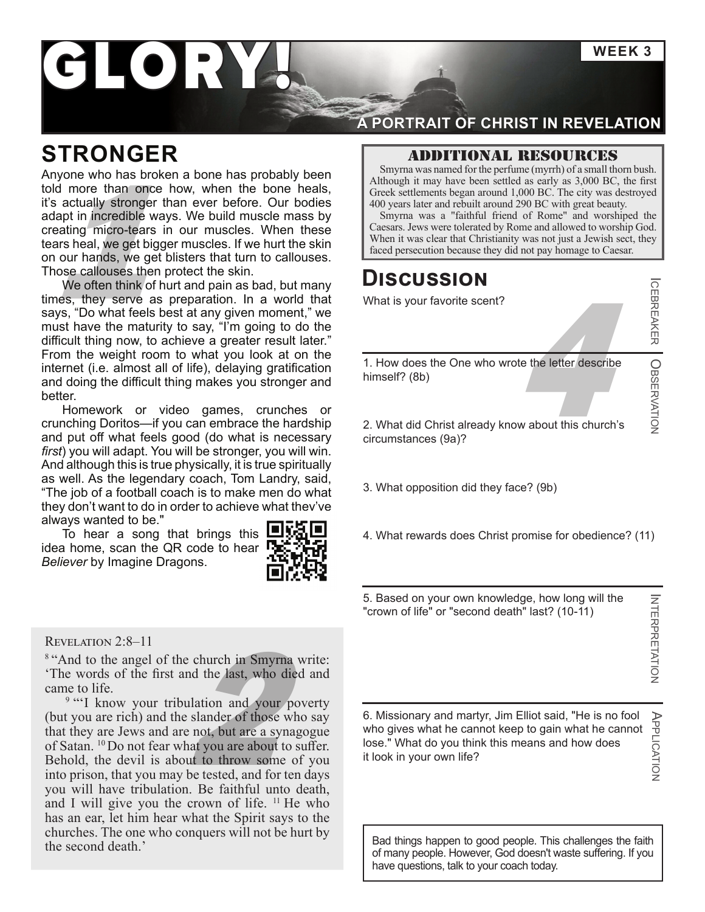**WEEK 3**

# I ORY

### **STRONGER**

Note that Christianity was destroyed<br>
Map in incredible ways. We build muscle mass by<br>
a actually stronger than ever before. Our bodies<br>
a Jewish great beauty.<br>
Supplying was a "faithful friend of Rome" and worshiped the<br> Anyone who has broken a bone has probably been told more than once how, when the bone heals, it's actually stronger than ever before. Our bodies adapt in incredible ways. We build muscle mass by creating micro-tears in our muscles. When these tears heal, we get bigger muscles. If we hurt the skin on our hands, we get blisters that turn to callouses. Those callouses then protect the skin.

We often think of hurt and pain as bad, but many times, they serve as preparation. In a world that says, "Do what feels best at any given moment," we must have the maturity to say, "I'm going to do the difficult thing now, to achieve a greater result later." From the weight room to what you look at on the internet (i.e. almost all of life), delaying gratification and doing the difficult thing makes you stronger and better.

Homework or video games, crunches or crunching Doritos—if you can embrace the hardship and put off what feels good (do what is necessary *first*) you will adapt. You will be stronger, you will win. And although this is true physically, it is true spiritually as well. As the legendary coach, Tom Landry, said, "The job of a football coach is to make men do what they don't want to do in order to achiev[e what they've](https://youtu.be/IhP3J0j9JmY)  always wanted to be."

To hear a song that brings this  $\Box$ idea home, scan the QR code to hear  $\Gamma$ *Believer* by Imagine Dragons.



#### Revelation 2:8–11

<sup>8</sup> "And to the angel of the church in Smyrna write: 'The words of the first and the last, who died and came to life.

e church in Smyrna w<br>
and the *last*, who died<br>
alation and your pov<br>
slander of those who<br>
chot, but are a synage<br>
care who sure about to sure<br>
to throw some of <sup>9</sup> "I know your tribulation and your poverty (but you are rich) and the slander of those who say that they are Jews and are not, but are a synagogue of Satan. 10Do not fear what you are about to suffer. Behold, the devil is about to throw some of you into prison, that you may be tested, and for ten days you will have tribulation. Be faithful unto death, and I will give you the crown of life.  $11$  He who has an ear, let him hear what the Spirit says to the churches. The one who conquers will not be hurt by the second death.'

### **A PORTRAIT OF CHRIST IN REVELATION**

#### Additional resources

Smyrna was named for the perfume (myrrh) of a small thorn bush. Although it may have been settled as early as 3,000 BC, the first Greek settlements began around 1,000 BC. The city was destroyed 400 years later and rebuilt around 290 BC with great beauty.

Smyrna was a "faithful friend of Rome" and worshiped the Caesars. Jews were tolerated by Rome and allowed to worship God.

### **Discussion**

What is your favorite scent?

ICEBREAKER

OBSERVATION

the letter describe 1. How does the One who wrote the letter describe himself? (8b)

2. What did Christ already know about this church's circumstances (9a)?

- 3. What opposition did they face? (9b)
- 4. What rewards does Christ promise for obedience? (11)
- 5. Based on your own knowledge, how long will the "crown of life" or "second death" last? (10-11)

APPLICATION

APPLICATION

6. Missionary and martyr, Jim Elliot said, "He is no fool who gives what he cannot keep to gain what he cannot lose." What do you think this means and how does it look in your own life?

Bad things happen to good people. This challenges the faith of many people. However, God doesn't waste suffering. If you have questions, talk to your coach today.